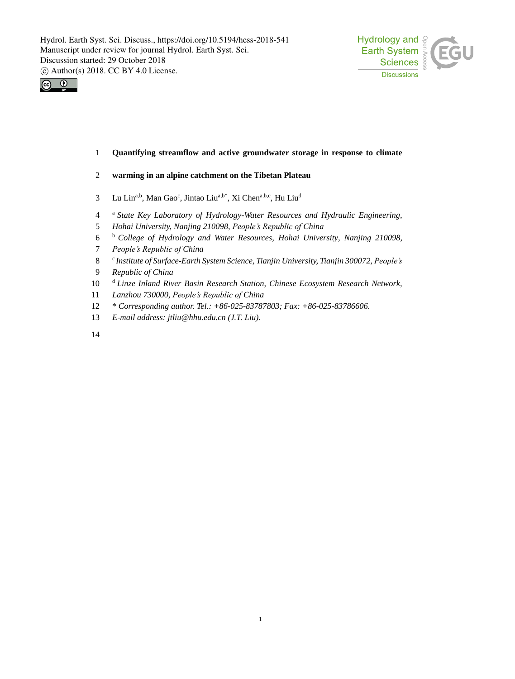



## **Quantifying streamflow and active groundwater storage in response to climate**

### **warming in an alpine catchment on the Tibetan Plateau**

- 3 Lu Lin<sup>a,b</sup>, Man Gao<sup>c</sup>, Jintao Liu<sup>a,b\*</sup>, Xi Chen<sup>a,b,c</sup>, Hu Liu<sup>d</sup>
- <sup>a</sup> *State Key Laboratory of Hydrology-Water Resources and Hydraulic Engineering,*
- *Hohai University, Nanjing 210098, People's Republic of China*
- <sup>b</sup> *College of Hydrology and Water Resources, Hohai University, Nanjing 210098,*
- *People's Republic of China*
- <sup>c</sup> *Institute of Surface-Earth System Science, Tianjin University, Tianjin 300072, People's*
- *Republic of China*
- <sup>d</sup> *Linze Inland River Basin Research Station, Chinese Ecosystem Research Network,*
- *Lanzhou 730000, People's Republic of China*
- \* *Corresponding author. Tel.: +86-025-83787803; Fax: +86-025-83786606.*
- *E-mail address: jtliu@hhu.edu.cn (J.T. Liu).*
-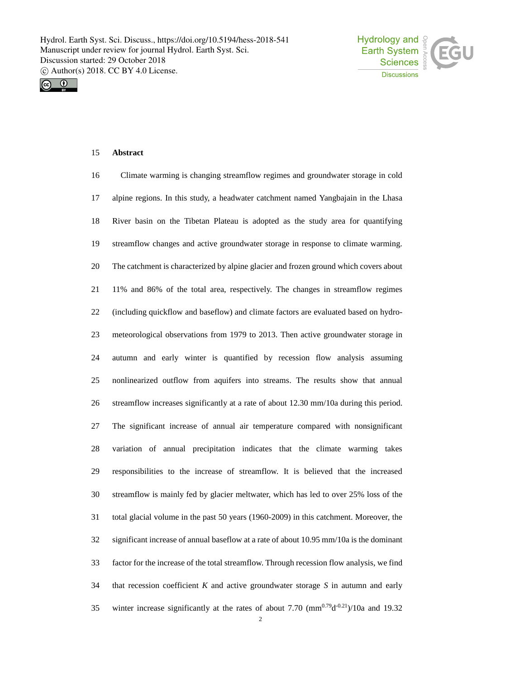



# **Abstract**

| 16     | Climate warming is changing streamflow regimes and groundwater storage in cold                              |
|--------|-------------------------------------------------------------------------------------------------------------|
| 17     | alpine regions. In this study, a headwater catchment named Yangbajain in the Lhasa                          |
| 18     | River basin on the Tibetan Plateau is adopted as the study area for quantifying                             |
| 19     | streamflow changes and active groundwater storage in response to climate warming.                           |
| $20\,$ | The catchment is characterized by alpine glacier and frozen ground which covers about                       |
| 21     | 11% and 86% of the total area, respectively. The changes in streamflow regimes                              |
| 22     | (including quickflow and baseflow) and climate factors are evaluated based on hydro-                        |
| 23     | meteorological observations from 1979 to 2013. Then active groundwater storage in                           |
| 24     | autumn and early winter is quantified by recession flow analysis assuming                                   |
| 25     | nonlinearized outflow from aquifers into streams. The results show that annual                              |
| 26     | streamflow increases significantly at a rate of about 12.30 mm/10a during this period.                      |
| 27     | The significant increase of annual air temperature compared with nonsignificant                             |
| 28     | variation of annual precipitation indicates that the climate warming takes                                  |
| 29     | responsibilities to the increase of streamflow. It is believed that the increased                           |
| 30     | streamflow is mainly fed by glacier meltwater, which has led to over 25% loss of the                        |
| 31     | total glacial volume in the past 50 years (1960-2009) in this catchment. Moreover, the                      |
| 32     | significant increase of annual baseflow at a rate of about 10.95 mm/10a is the dominant                     |
| 33     | factor for the increase of the total streamflow. Through recession flow analysis, we find                   |
| 34     | that recession coefficient $K$ and active groundwater storage $S$ in autumn and early                       |
| 35     | winter increase significantly at the rates of about 7.70 $\text{(mm}^{0.79}\text{d}^{0.21})/10$ a and 19.32 |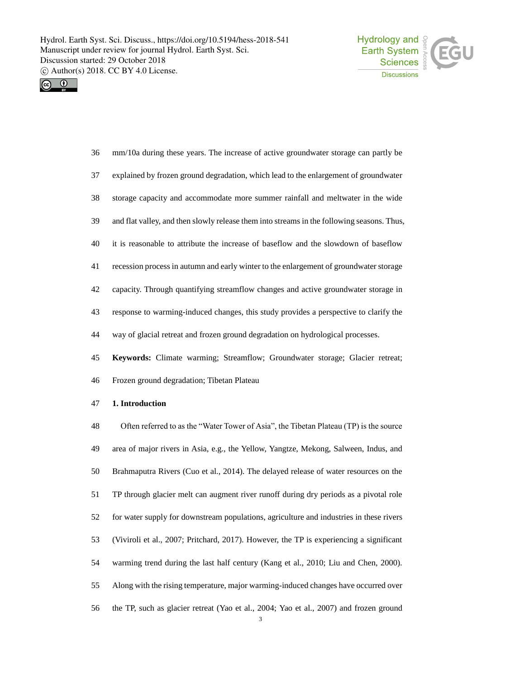



| 36 | mm/10a during these years. The increase of active groundwater storage can partly be        |
|----|--------------------------------------------------------------------------------------------|
| 37 | explained by frozen ground degradation, which lead to the enlargement of groundwater       |
| 38 | storage capacity and accommodate more summer rainfall and meltwater in the wide            |
| 39 | and flat valley, and then slowly release them into streams in the following seasons. Thus, |
| 40 | it is reasonable to attribute the increase of baseflow and the slowdown of baseflow        |
| 41 | recession process in autumn and early winter to the enlargement of groundwater storage     |
| 42 | capacity. Through quantifying streamflow changes and active groundwater storage in         |
| 43 | response to warming-induced changes, this study provides a perspective to clarify the      |
| 44 | way of glacial retreat and frozen ground degradation on hydrological processes.            |
| 45 | Keywords: Climate warming; Streamflow; Groundwater storage; Glacier retreat;               |
| 46 | Frozen ground degradation; Tibetan Plateau                                                 |
| 47 | 1. Introduction                                                                            |
| 48 | Often referred to as the "Water Tower of Asia", the Tibetan Plateau (TP) is the source     |

 area of major rivers in Asia, e.g., the Yellow, Yangtze, Mekong, Salween, Indus, and Brahmaputra Rivers (Cuo et al., 2014). The delayed release of water resources on the TP through glacier melt can augment river runoff during dry periods as a pivotal role for water supply for downstream populations, agriculture and industries in these rivers (Viviroli et al., 2007; Pritchard, 2017). However, the TP is experiencing a significant warming trend during the last half century (Kang et al., 2010; Liu and Chen, 2000). Along with the rising temperature, major warming-induced changes have occurred over the TP, such as glacier retreat (Yao et al., 2004; Yao et al., 2007) and frozen ground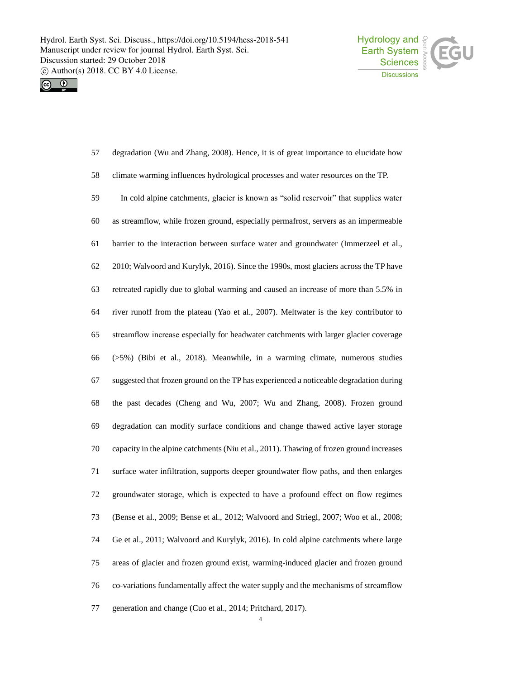



| 57     | degradation (Wu and Zhang, 2008). Hence, it is of great importance to elucidate how      |
|--------|------------------------------------------------------------------------------------------|
| 58     | climate warming influences hydrological processes and water resources on the TP.         |
| 59     | In cold alpine catchments, glacier is known as "solid reservoir" that supplies water     |
| 60     | as streamflow, while frozen ground, especially permafrost, servers as an impermeable     |
| 61     | barrier to the interaction between surface water and groundwater (Immerzeel et al.,      |
| 62     | 2010; Walvoord and Kurylyk, 2016). Since the 1990s, most glaciers across the TP have     |
| 63     | retreated rapidly due to global warming and caused an increase of more than 5.5% in      |
| 64     | river runoff from the plateau (Yao et al., 2007). Meltwater is the key contributor to    |
| 65     | streamflow increase especially for headwater catchments with larger glacier coverage     |
| 66     | $(5\%)$ (Bibi et al., 2018). Meanwhile, in a warming climate, numerous studies           |
| 67     | suggested that frozen ground on the TP has experienced a noticeable degradation during   |
| 68     | the past decades (Cheng and Wu, 2007; Wu and Zhang, 2008). Frozen ground                 |
| 69     | degradation can modify surface conditions and change thawed active layer storage         |
| $70\,$ | capacity in the alpine catchments (Niu et al., 2011). Thawing of frozen ground increases |
| 71     | surface water infiltration, supports deeper groundwater flow paths, and then enlarges    |
| 72     | groundwater storage, which is expected to have a profound effect on flow regimes         |
| 73     | (Bense et al., 2009; Bense et al., 2012; Walvoord and Striegl, 2007; Woo et al., 2008;   |
| 74     | Ge et al., 2011; Walvoord and Kurylyk, 2016). In cold alpine catchments where large      |
| 75     | areas of glacier and frozen ground exist, warming-induced glacier and frozen ground      |
| 76     | co-variations fundamentally affect the water supply and the mechanisms of streamflow     |
| 77     | generation and change (Cuo et al., 2014; Pritchard, 2017).                               |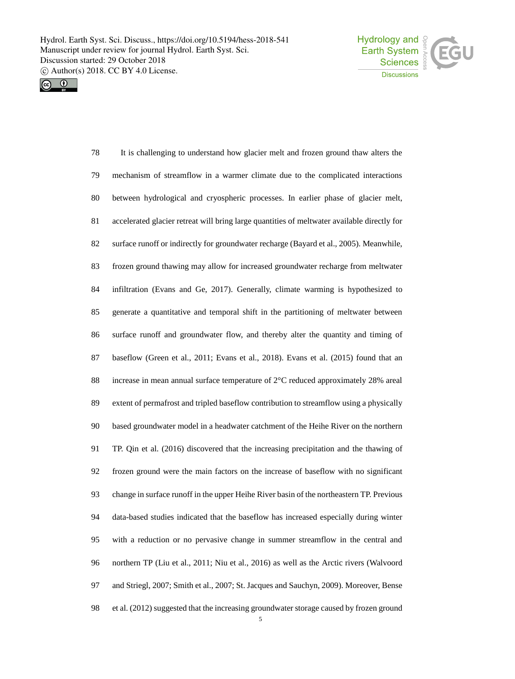



 It is challenging to understand how glacier melt and frozen ground thaw alters the mechanism of streamflow in a warmer climate due to the complicated interactions between hydrological and cryospheric processes. In earlier phase of glacier melt, accelerated glacier retreat will bring large quantities of meltwater available directly for surface runoff or indirectly for groundwater recharge (Bayard et al., 2005). Meanwhile, frozen ground thawing may allow for increased groundwater recharge from meltwater infiltration (Evans and Ge, 2017). Generally, climate warming is hypothesized to generate a quantitative and temporal shift in the partitioning of meltwater between surface runoff and groundwater flow, and thereby alter the quantity and timing of baseflow (Green et al., 2011; Evans et al., 2018). Evans et al. (2015) found that an increase in mean annual surface temperature of 2°C reduced approximately 28% areal extent of permafrost and tripled baseflow contribution to streamflow using a physically based groundwater model in a headwater catchment of the Heihe River on the northern TP. Qin et al. (2016) discovered that the increasing precipitation and the thawing of frozen ground were the main factors on the increase of baseflow with no significant change in surface runoff in the upper Heihe River basin of the northeastern TP. Previous data-based studies indicated that the baseflow has increased especially during winter with a reduction or no pervasive change in summer streamflow in the central and northern TP (Liu et al., 2011; Niu et al., 2016) as well as the Arctic rivers (Walvoord and Striegl, 2007; Smith et al., 2007; St. Jacques and Sauchyn, 2009). Moreover, Bense et al. (2012) suggested that the increasing groundwater storage caused by frozen ground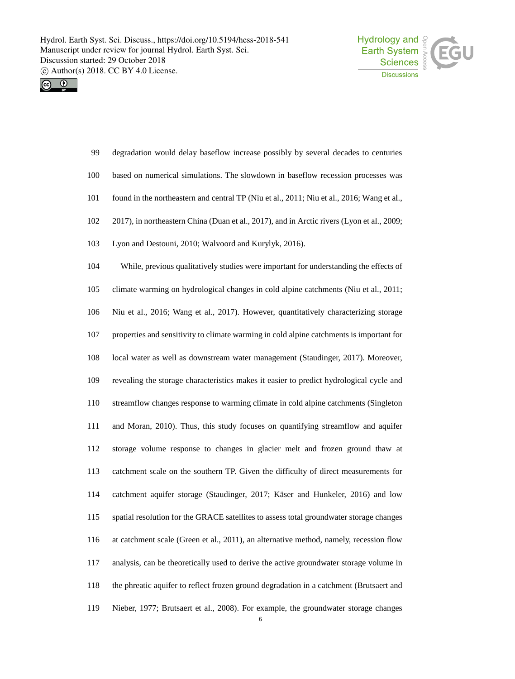



| 99  | degradation would delay baseflow increase possibly by several decades to centuries         |
|-----|--------------------------------------------------------------------------------------------|
| 100 | based on numerical simulations. The slowdown in baseflow recession processes was           |
| 101 | found in the northeastern and central TP (Niu et al., 2011; Niu et al., 2016; Wang et al., |
| 102 | 2017), in northeastern China (Duan et al., 2017), and in Arctic rivers (Lyon et al., 2009; |
| 103 | Lyon and Destouni, 2010; Walvoord and Kurylyk, 2016).                                      |
| 104 | While, previous qualitatively studies were important for understanding the effects of      |
| 105 | climate warming on hydrological changes in cold alpine catchments (Niu et al., 2011;       |
| 106 | Niu et al., 2016; Wang et al., 2017). However, quantitatively characterizing storage       |
| 107 | properties and sensitivity to climate warming in cold alpine catchments is important for   |
| 108 | local water as well as downstream water management (Staudinger, 2017). Moreover,           |
| 109 | revealing the storage characteristics makes it easier to predict hydrological cycle and    |
| 110 | streamflow changes response to warming climate in cold alpine catchments (Singleton        |
| 111 | and Moran, 2010). Thus, this study focuses on quantifying streamflow and aquifer           |
| 112 | storage volume response to changes in glacier melt and frozen ground thaw at               |
| 113 | catchment scale on the southern TP. Given the difficulty of direct measurements for        |
| 114 | catchment aquifer storage (Staudinger, 2017; Käser and Hunkeler, 2016) and low             |
| 115 | spatial resolution for the GRACE satellites to assess total groundwater storage changes    |
| 116 | at catchment scale (Green et al., 2011), an alternative method, namely, recession flow     |
| 117 | analysis, can be theoretically used to derive the active groundwater storage volume in     |
| 118 | the phreatic aquifer to reflect frozen ground degradation in a catchment (Brutsaert and    |
| 119 | Nieber, 1977; Brutsaert et al., 2008). For example, the groundwater storage changes        |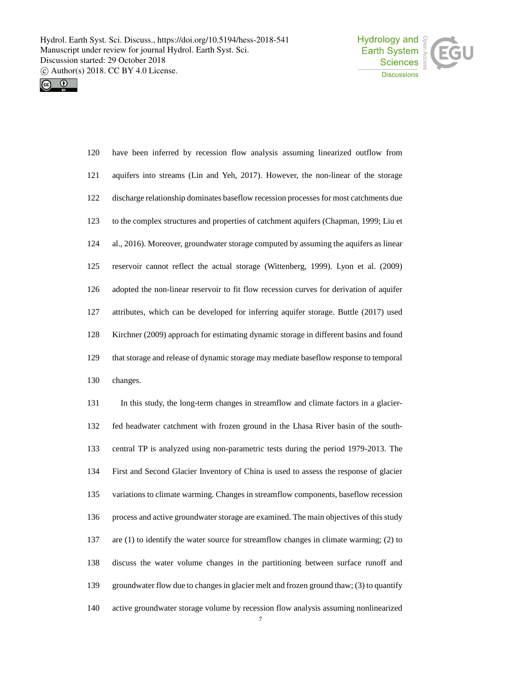



| 120 | have been inferred by recession flow analysis assuming linearized outflow from          |
|-----|-----------------------------------------------------------------------------------------|
| 121 | aquifers into streams (Lin and Yeh, 2017). However, the non-linear of the storage       |
| 122 | discharge relationship dominates baseflow recession processes for most catchments due   |
| 123 | to the complex structures and properties of catchment aquifers (Chapman, 1999; Liu et   |
| 124 | al., 2016). Moreover, groundwater storage computed by assuming the aquifers as linear   |
| 125 | reservoir cannot reflect the actual storage (Wittenberg, 1999). Lyon et al. (2009)      |
| 126 | adopted the non-linear reservoir to fit flow recession curves for derivation of aquifer |
| 127 | attributes, which can be developed for inferring aquifer storage. Buttle (2017) used    |
| 128 | Kirchner (2009) approach for estimating dynamic storage in different basins and found   |
| 129 | that storage and release of dynamic storage may mediate baseflow response to temporal   |
| 130 | changes.                                                                                |
| 131 | In this study, the long-term changes in streamflow and climate factors in a glacier-    |

 fed headwater catchment with frozen ground in the Lhasa River basin of the south- central TP is analyzed using non-parametric tests during the period 1979-2013. The First and Second Glacier Inventory of China is used to assess the response of glacier variations to climate warming. Changes in streamflow components, baseflow recession process and active groundwater storage are examined. The main objectives of this study are (1) to identify the water source for streamflow changes in climate warming; (2) to discuss the water volume changes in the partitioning between surface runoff and groundwater flow due to changes in glacier melt and frozen ground thaw; (3) to quantify active groundwater storage volume by recession flow analysis assuming nonlinearized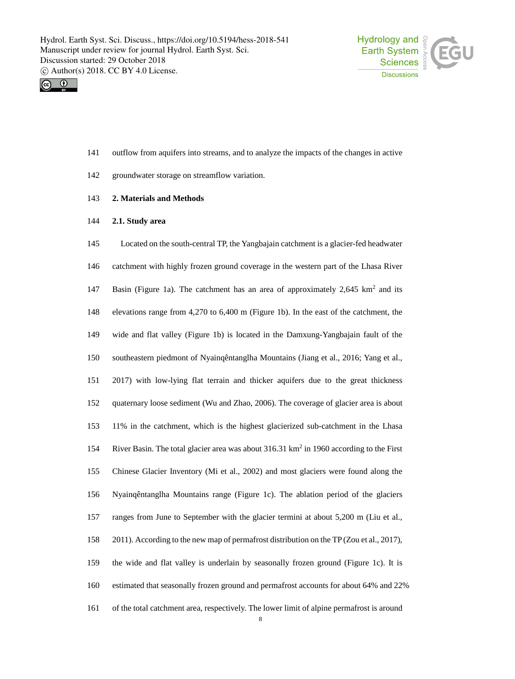



- outflow from aquifers into streams, and to analyze the impacts of the changes in active
- groundwater storage on streamflow variation.
- **2. Materials and Methods**
- **2.1. Study area**

 Located on the south-central TP, the Yangbajain catchment is a glacier-fed headwater catchment with highly frozen ground coverage in the western part of the Lhasa River 147 Basin (Figure 1a). The catchment has an area of approximately  $2.645 \text{ km}^2$  and its elevations range from 4,270 to 6,400 m (Figure 1b). In the east of the catchment, the wide and flat valley (Figure 1b) is located in the Damxung-Yangbajain fault of the southeastern piedmont of Nyainqêntanglha Mountains (Jiang et al., 2016; Yang et al., 2017) with low-lying flat terrain and thicker aquifers due to the great thickness quaternary loose sediment (Wu and Zhao, 2006). The coverage of glacier area is about 11% in the catchment, which is the highest glacierized sub-catchment in the Lhasa 154 River Basin. The total glacier area was about  $316.31 \text{ km}^2$  in 1960 according to the First Chinese Glacier Inventory (Mi et al., 2002) and most glaciers were found along the Nyainqêntanglha Mountains range (Figure 1c). The ablation period of the glaciers ranges from June to September with the glacier termini at about 5,200 m (Liu et al., 2011). According to the new map of permafrost distribution on the TP (Zou et al., 2017), the wide and flat valley is underlain by seasonally frozen ground (Figure 1c). It is estimated that seasonally frozen ground and permafrost accounts for about 64% and 22% of the total catchment area, respectively. The lower limit of alpine permafrost is around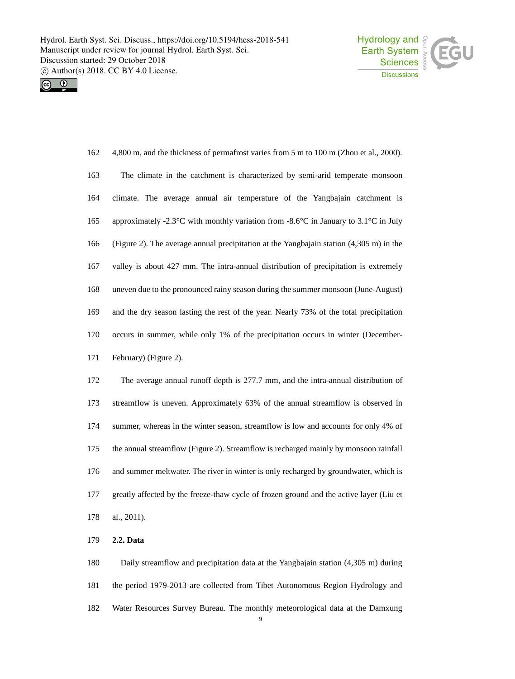



| 162 | 4,800 m, and the thickness of permafrost varies from 5 m to 100 m (Zhou et al., 2000).            |
|-----|---------------------------------------------------------------------------------------------------|
| 163 | The climate in the catchment is characterized by semi-arid temperate monsoon                      |
| 164 | climate. The average annual air temperature of the Yangbajain catchment is                        |
| 165 | approximately -2.3°C with monthly variation from -8.6°C in January to 3.1°C in July               |
| 166 | (Figure 2). The average annual precipitation at the Yangbajain station $(4,305 \text{ m})$ in the |
| 167 | valley is about 427 mm. The intra-annual distribution of precipitation is extremely               |
| 168 | uneven due to the pronounced rainy season during the summer monsoon (June-August)                 |
| 169 | and the dry season lasting the rest of the year. Nearly 73% of the total precipitation            |
| 170 | occurs in summer, while only 1% of the precipitation occurs in winter (December-                  |
| 171 | February) (Figure 2).                                                                             |
| 172 | The average annual runoff depth is 277.7 mm, and the intra-annual distribution of                 |
| 173 | streamflow is uneven. Approximately 63% of the annual streamflow is observed in                   |
| 174 | summer, whereas in the winter season, streamflow is low and accounts for only 4% of               |
| 175 | the annual streamflow (Figure 2). Streamflow is recharged mainly by monsoon rainfall              |
| 176 | and summer meltwater. The river in winter is only recharged by groundwater, which is              |
| 177 | greatly affected by the freeze-thaw cycle of frozen ground and the active layer (Liu et           |
| 178 | al., 2011).                                                                                       |
| 179 | 2.2. Data                                                                                         |

 Daily streamflow and precipitation data at the Yangbajain station (4,305 m) during the period 1979-2013 are collected from Tibet Autonomous Region Hydrology and Water Resources Survey Bureau. The monthly meteorological data at the Damxung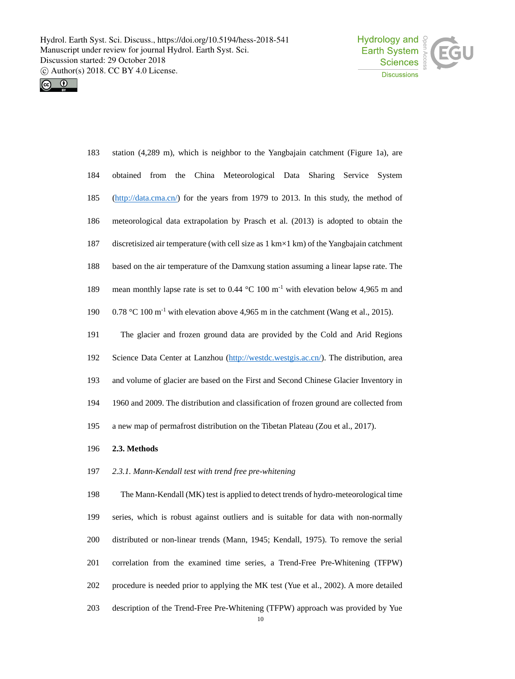



| 183 | station $(4,289 \text{ m})$ , which is neighbor to the Yangbajain catchment (Figure 1a), are             |
|-----|----------------------------------------------------------------------------------------------------------|
| 184 | China Meteorological Data Sharing<br>obtained<br>from the<br>Service<br>System                           |
| 185 | (http://data.cma.cn/) for the years from 1979 to 2013. In this study, the method of                      |
| 186 | meteorological data extrapolation by Prasch et al. (2013) is adopted to obtain the                       |
| 187 | discretisized air temperature (with cell size as 1 km×1 km) of the Yangbajain catchment                  |
| 188 | based on the air temperature of the Damxung station assuming a linear lapse rate. The                    |
| 189 | mean monthly lapse rate is set to 0.44 $^{\circ}$ C 100 m <sup>-1</sup> with elevation below 4,965 m and |
| 190 | $0.78 \text{ °C}$ 100 m <sup>-1</sup> with elevation above 4,965 m in the catchment (Wang et al., 2015). |
| 191 | The glacier and frozen ground data are provided by the Cold and Arid Regions                             |
| 192 | Science Data Center at Lanzhou (http://westdc.westgis.ac.cn/). The distribution, area                    |
| 193 | and volume of glacier are based on the First and Second Chinese Glacier Inventory in                     |
| 194 | 1960 and 2009. The distribution and classification of frozen ground are collected from                   |
| 195 | a new map of permafrost distribution on the Tibetan Plateau (Zou et al., 2017).                          |
| 196 | 2.3. Methods                                                                                             |
| 197 | 2.3.1. Mann-Kendall test with trend free pre-whitening                                                   |

 The Mann-Kendall (MK) test is applied to detect trends of hydro-meteorological time series, which is robust against outliers and is suitable for data with non-normally distributed or non-linear trends (Mann, 1945; Kendall, 1975). To remove the serial correlation from the examined time series, a Trend-Free Pre-Whitening (TFPW) procedure is needed prior to applying the MK test (Yue et al., 2002). A more detailed description of the Trend-Free Pre-Whitening (TFPW) approach was provided by Yue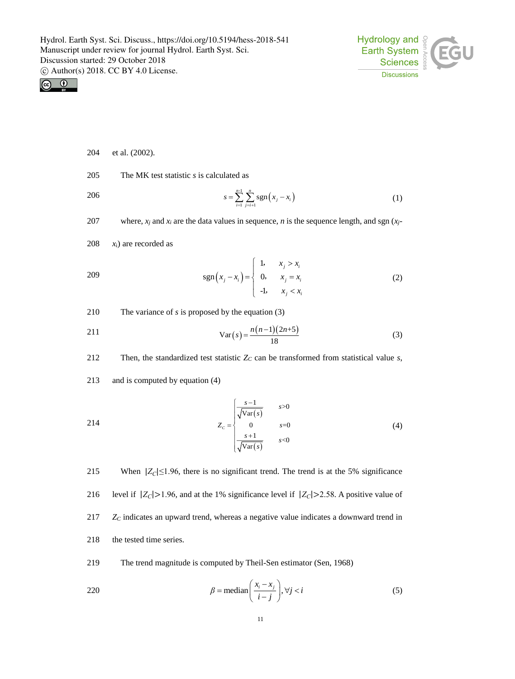



- 204 et al. (2002).
- 205 The MK test statistic *s* is calculated as
- 
- 
- $\sum_{i=1}^{n} \sum_{j=1}^{n} \text{sgn}(x_j x_i)$  $\sum_{i=1}^{n-1} \sum_{j=i+1}^{n}$ sgn  $\sum_{i=1}^{n} \sum_{j=i+1}^{n} \sum_{j=i+1}^{n} \cdots \cdots \sum_{i}^{n}$  $s = \sum_{i=1}^{\infty} \sum_{j=i+1}^{\infty}$ sgn $(x_j - x_i)$ 206  $s = \sum_{i=1}^{n} \sum_{j=1}^{n} sgn(x_j - x_i)$  (1)
- 207 where,  $x_i$  and  $x_i$  are the data values in sequence, *n* is the sequence length, and sgn ( $x_j$ -
- $208$   $x_i$ ) are recorded as

209 
$$
\text{sgn}(x_j - x_i) = \begin{cases} 1, & x_j > x_i \\ 0, & x_j = x_i \\ -1, & x_j < x_i \end{cases}
$$
 (2)

210 The variance of *s* is proposed by the equation (3)

$$
Var(s) = \frac{n(n-1)(2n+5)}{18}
$$
 (3)

212 Then, the standardized test statistic  $Z_C$  can be transformed from statistical value *s*,

213 and is computed by equation (4)

214 
$$
Z_{c} = \begin{cases} \frac{s-1}{\sqrt{\text{Var}(s)}} & s > 0\\ 0 & s=0\\ \frac{s+1}{\sqrt{\text{Var}(s)}} & s < 0 \end{cases}
$$
 (4)

215 When  $|Z_C| \le 1.96$ , there is no significant trend. The trend is at the 5% significance 216 level if  $|Z_C| > 1.96$ , and at the 1% significance level if  $|Z_C| > 2.58$ . A positive value of 217 *Z<sup>C</sup>* indicates an upward trend, whereas a negative value indicates a downward trend in 218 the tested time series.

219 The trend magnitude is computed by Theil-Sen estimator (Sen, 1968)

220 
$$
\beta = \text{median}\left(\frac{x_i - x_j}{i - j}\right), \forall j < i
$$
 (5)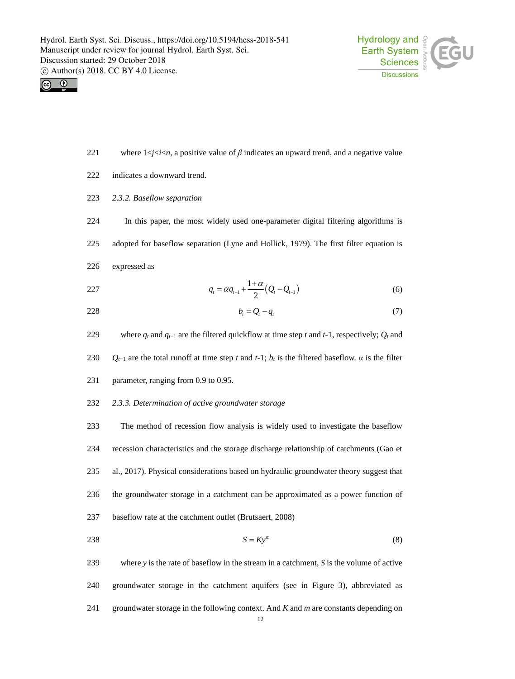



- where 1<*j*<*i*<*n*, a positive value of *β* indicates an upward trend, and a negative value
- indicates a downward trend.
- *2.3.2. Baseflow separation*
- In this paper, the most widely used one-parameter digital filtering algorithms is
- adopted for baseflow separation (Lyne and Hollick, 1979). The first filter equation is
- expressed as

227 
$$
q_t = \alpha q_{t-1} + \frac{1+\alpha}{2} (Q_t - Q_{t-1})
$$
 (6)

- $b_t = Q_t q_t$  (7)
- 229 where  $q_t$  and  $q_{t-1}$  are the filtered quickflow at time step *t* and *t*-1, respectively;  $Q_t$  and
- 230 *Q*<sub> $t-1$ </sub> are the total runoff at time step *t* and *t*-1; *b<sub>t</sub>* is the filtered baseflow. *α* is the filter
- parameter, ranging from 0.9 to 0.95.
- *2.3.3. Determination of active groundwater storage*

 The method of recession flow analysis is widely used to investigate the baseflow recession characteristics and the storage discharge relationship of catchments (Gao et al., 2017). Physical considerations based on hydraulic groundwater theory suggest that the groundwater storage in a catchment can be approximated as a power function of baseflow rate at the catchment outlet (Brutsaert, 2008)

- $S = Ky^m$  (8)
- where *y* is the rate of baseflow in the stream in a catchment, *S* is the volume of active groundwater storage in the catchment aquifers (see in Figure 3), abbreviated as groundwater storage in the following context. And *K* and *m* are constants depending on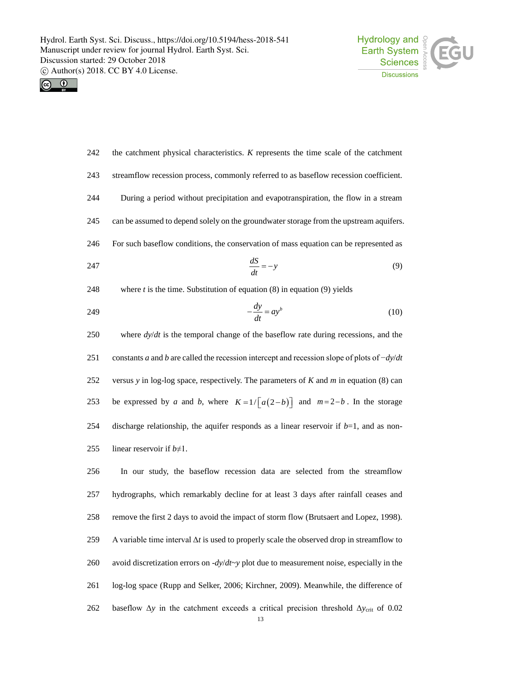



| the catchment physical characteristics. K represents the time scale of the catchment          | 242 |
|-----------------------------------------------------------------------------------------------|-----|
| streamflow recession process, commonly referred to as baseflow recession coefficient.         | 243 |
| During a period without precipitation and evapotranspiration, the flow in a stream            | 244 |
| can be assumed to depend solely on the groundwater storage from the upstream aquifers.        | 245 |
| For such baseflow conditions, the conservation of mass equation can be represented as         | 246 |
| $\frac{dS}{dt} = -y$<br>(9)                                                                   | 247 |
| where $t$ is the time. Substitution of equation $(8)$ in equation $(9)$ yields                | 248 |
| $-\frac{dy}{dt} = ay^b$<br>(10)                                                               | 249 |
| where $dy/dt$ is the temporal change of the baseflow rate during recessions, and the          | 250 |
| constants a and b are called the recession intercept and recession slope of plots of $-dy/dt$ | 251 |
| versus y in log-log space, respectively. The parameters of $K$ and $m$ in equation (8) can    | 252 |
| be expressed by a and b, where $K=1/\lceil a(2-b)\rceil$ and $m=2-b$ . In the storage         | 253 |
| discharge relationship, the aquifer responds as a linear reservoir if $b=1$ , and as non-     | 254 |
| linear reservoir if $b \neq 1$ .                                                              | 255 |
| In our study, the baseflow recession data are selected from the streamflow                    | 256 |
| hydrographs, which remarkably decline for at least 3 days after rainfall ceases and           | 257 |
| remove the first 2 days to avoid the impact of storm flow (Brutsaert and Lopez, 1998).        | 258 |

 A variable time interval Δ*t* is used to properly scale the observed drop in streamflow to avoid discretization errors on -*dy*/*dt*~*y* plot due to measurement noise, especially in the log-log space (Rupp and Selker, 2006; Kirchner, 2009). Meanwhile, the difference of baseflow Δ*y* in the catchment exceeds a critical precision threshold Δ*y*crit of 0.02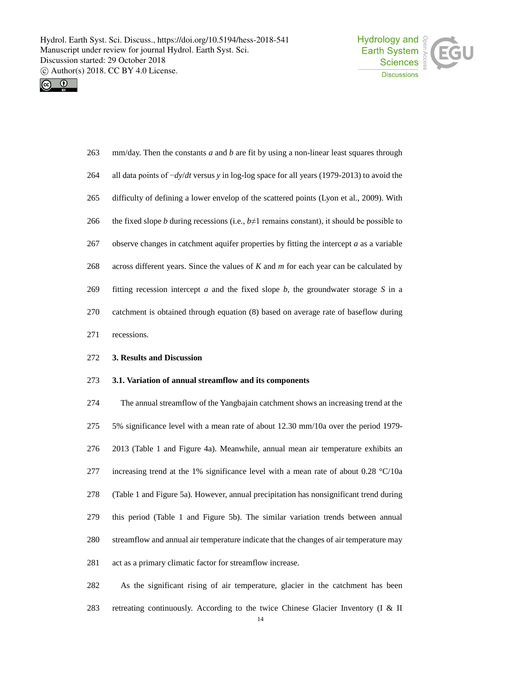



| 263 | $mm/day$ . Then the constants a and b are fit by using a non-linear least squares through         |
|-----|---------------------------------------------------------------------------------------------------|
| 264 | all data points of $-dy/dt$ versus y in log-log space for all years (1979-2013) to avoid the      |
| 265 | difficulty of defining a lower envelop of the scattered points (Lyon et al., 2009). With          |
| 266 | the fixed slope b during recessions (i.e., $b \neq 1$ remains constant), it should be possible to |
| 267 | observe changes in catchment aquifer properties by fitting the intercept $a$ as a variable        |
| 268 | across different years. Since the values of $K$ and $m$ for each year can be calculated by        |
| 269 | fitting recession intercept $a$ and the fixed slope $b$ , the groundwater storage $S$ in a        |
| 270 | catchment is obtained through equation (8) based on average rate of baseflow during               |
| 271 | recessions.                                                                                       |

### **3. Results and Discussion**

#### **3.1. Variation of annual streamflow and its components**

 The annual streamflow of the Yangbajain catchment shows an increasing trend at the 5% significance level with a mean rate of about 12.30 mm/10a over the period 1979- 2013 (Table 1 and Figure 4a). Meanwhile, annual mean air temperature exhibits an 277 increasing trend at the 1% significance level with a mean rate of about  $0.28 \text{ °C}/10a$  (Table 1 and Figure 5a). However, annual precipitation has nonsignificant trend during this period (Table 1 and Figure 5b). The similar variation trends between annual streamflow and annual air temperature indicate that the changes of air temperature may act as a primary climatic factor for streamflow increase.

 As the significant rising of air temperature, glacier in the catchment has been retreating continuously. According to the twice Chinese Glacier Inventory (I & II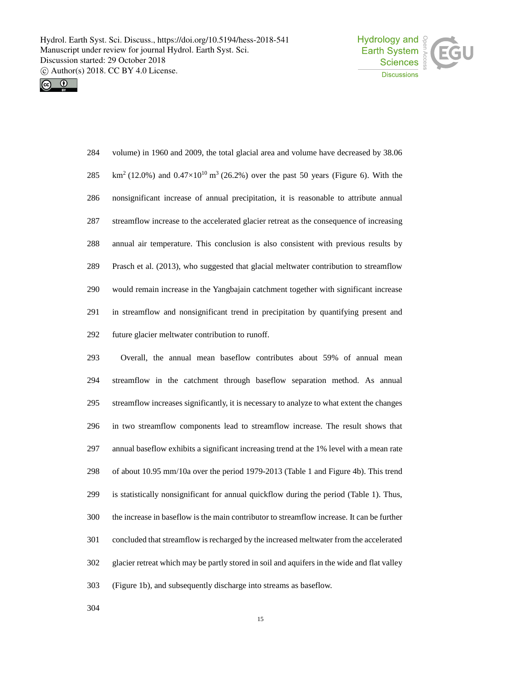



| 284 | volume) in 1960 and 2009, the total glacial area and volume have decreased by 38.06                         |
|-----|-------------------------------------------------------------------------------------------------------------|
| 285 | $km^2$ (12.0%) and 0.47×10 <sup>10</sup> m <sup>3</sup> (26.2%) over the past 50 years (Figure 6). With the |
| 286 | nonsignificant increase of annual precipitation, it is reasonable to attribute annual                       |
| 287 | streamflow increase to the accelerated glacier retreat as the consequence of increasing                     |
| 288 | annual air temperature. This conclusion is also consistent with previous results by                         |
| 289 | Prasch et al. (2013), who suggested that glacial meltwater contribution to streamflow                       |
| 290 | would remain increase in the Yangbajain catchment together with significant increase                        |
| 291 | in streamflow and nonsignificant trend in precipitation by quantifying present and                          |
| 292 | future glacier meltwater contribution to runoff.                                                            |

 Overall, the annual mean baseflow contributes about 59% of annual mean streamflow in the catchment through baseflow separation method. As annual streamflow increases significantly, it is necessary to analyze to what extent the changes in two streamflow components lead to streamflow increase. The result shows that annual baseflow exhibits a significant increasing trend at the 1% level with a mean rate of about 10.95 mm/10a over the period 1979-2013 (Table 1 and Figure 4b). This trend is statistically nonsignificant for annual quickflow during the period (Table 1). Thus, the increase in baseflow is the main contributor to streamflow increase. It can be further concluded that streamflow is recharged by the increased meltwater from the accelerated glacier retreat which may be partly stored in soil and aquifers in the wide and flat valley (Figure 1b), and subsequently discharge into streams as baseflow.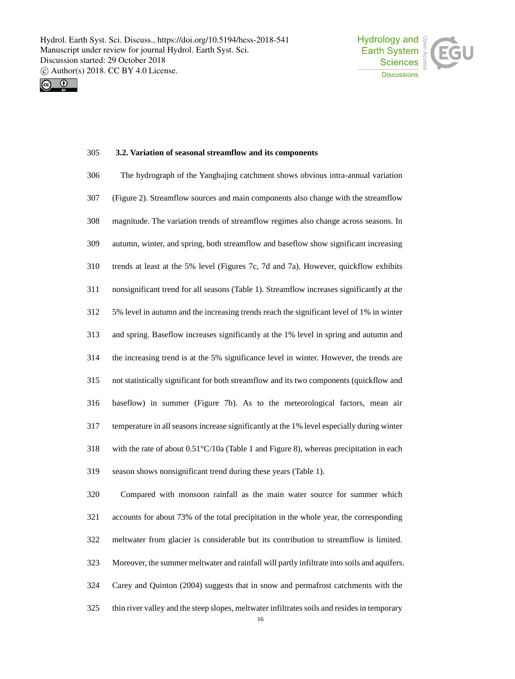



### **3.2. Variation of seasonal streamflow and its components**

| 306 | The hydrograph of the Yangbajing catchment shows obvious intra-annual variation                   |
|-----|---------------------------------------------------------------------------------------------------|
| 307 | (Figure 2). Streamflow sources and main components also change with the streamflow                |
| 308 | magnitude. The variation trends of streamflow regimes also change across seasons. In              |
| 309 | autumn, winter, and spring, both streamflow and baseflow show significant increasing              |
| 310 | trends at least at the 5% level (Figures 7c, 7d and 7a). However, quickflow exhibits              |
| 311 | nonsignificant trend for all seasons (Table 1). Streamflow increases significantly at the         |
| 312 | 5% level in autumn and the increasing trends reach the significant level of 1% in winter          |
| 313 | and spring. Baseflow increases significantly at the 1% level in spring and autumn and             |
| 314 | the increasing trend is at the 5% significance level in winter. However, the trends are           |
| 315 | not statistically significant for both streamflow and its two components (quickflow and           |
| 316 | baseflow) in summer (Figure 7b). As to the meteorological factors, mean air                       |
| 317 | temperature in all seasons increase significantly at the 1% level especially during winter        |
| 318 | with the rate of about $0.51^{\circ}$ C/10a (Table 1 and Figure 8), whereas precipitation in each |
| 319 | season shows nonsignificant trend during these years (Table 1).                                   |

 Compared with monsoon rainfall as the main water source for summer which accounts for about 73% of the total precipitation in the whole year, the corresponding meltwater from glacier is considerable but its contribution to streamflow is limited. Moreover, the summer meltwater and rainfall will partly infiltrate into soils and aquifers. Carey and Quinton (2004) suggests that in snow and permafrost catchments with the thin river valley and the steep slopes, meltwater infiltrates soils and resides in temporary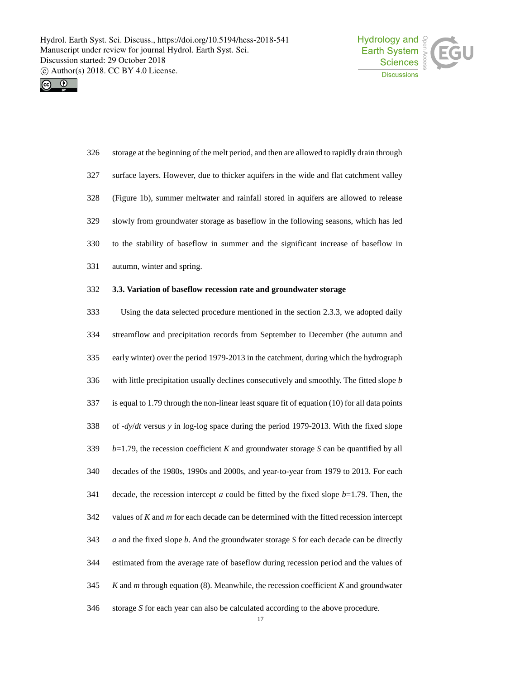



 storage at the beginning of the melt period, and then are allowed to rapidly drain through surface layers. However, due to thicker aquifers in the wide and flat catchment valley (Figure 1b), summer meltwater and rainfall stored in aquifers are allowed to release slowly from groundwater storage as baseflow in the following seasons, which has led to the stability of baseflow in summer and the significant increase of baseflow in autumn, winter and spring.

### **3.3. Variation of baseflow recession rate and groundwater storage**

 Using the data selected procedure mentioned in the section 2.3.3, we adopted daily streamflow and precipitation records from September to December (the autumn and early winter) over the period 1979-2013 in the catchment, during which the hydrograph with little precipitation usually declines consecutively and smoothly. The fitted slope *b* is equal to 1.79 through the non-linear least square fit of equation (10) for all data points of -*dy*/*dt* versus *y* in log-log space during the period 1979-2013. With the fixed slope *b*=1.79, the recession coefficient *K* and groundwater storage *S* can be quantified by all decades of the 1980s, 1990s and 2000s, and year-to-year from 1979 to 2013. For each decade, the recession intercept *a* could be fitted by the fixed slope *b*=1.79. Then, the values of *K* and *m* for each decade can be determined with the fitted recession intercept *a* and the fixed slope *b*. And the groundwater storage *S* for each decade can be directly estimated from the average rate of baseflow during recession period and the values of *K* and *m* through equation (8). Meanwhile, the recession coefficient *K* and groundwater storage *S* for each year can also be calculated according to the above procedure.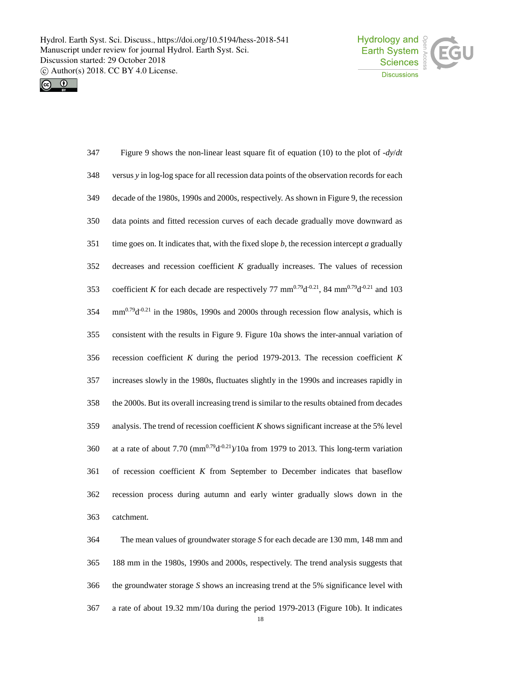



| 347 | Figure 9 shows the non-linear least square fit of equation (10) to the plot of $-dy/dt$                                                    |
|-----|--------------------------------------------------------------------------------------------------------------------------------------------|
| 348 | versus y in log-log space for all recession data points of the observation records for each                                                |
| 349 | decade of the 1980s, 1990s and 2000s, respectively. As shown in Figure 9, the recession                                                    |
| 350 | data points and fitted recession curves of each decade gradually move downward as                                                          |
| 351 | time goes on. It indicates that, with the fixed slope $b$ , the recession intercept $a$ gradually                                          |
| 352 | decreases and recession coefficient $K$ gradually increases. The values of recession                                                       |
| 353 | coefficient K for each decade are respectively 77 mm <sup>0.79</sup> d <sup>-0.21</sup> , 84 mm <sup>0.79</sup> d <sup>-0.21</sup> and 103 |
| 354 | $mm^{0.79}d^{0.21}$ in the 1980s, 1990s and 2000s through recession flow analysis, which is                                                |
| 355 | consistent with the results in Figure 9. Figure 10a shows the inter-annual variation of                                                    |
| 356 | recession coefficient $K$ during the period 1979-2013. The recession coefficient $K$                                                       |
| 357 | increases slowly in the 1980s, fluctuates slightly in the 1990s and increases rapidly in                                                   |
| 358 | the 2000s. But its overall increasing trend is similar to the results obtained from decades                                                |
| 359 | analysis. The trend of recession coefficient $K$ shows significant increase at the 5% level                                                |
| 360 | at a rate of about 7.70 ( $mm^{0.79}d^{0.21}$ )/10a from 1979 to 2013. This long-term variation                                            |
| 361 | of recession coefficient $K$ from September to December indicates that baseflow                                                            |
| 362 | recession process during autumn and early winter gradually slows down in the                                                               |
| 363 | catchment.                                                                                                                                 |
| 364 | The mean values of groundwater storage S for each decade are 130 mm, 148 mm and                                                            |

 188 mm in the 1980s, 1990s and 2000s, respectively. The trend analysis suggests that the groundwater storage *S* shows an increasing trend at the 5% significance level with a rate of about 19.32 mm/10a during the period 1979-2013 (Figure 10b). It indicates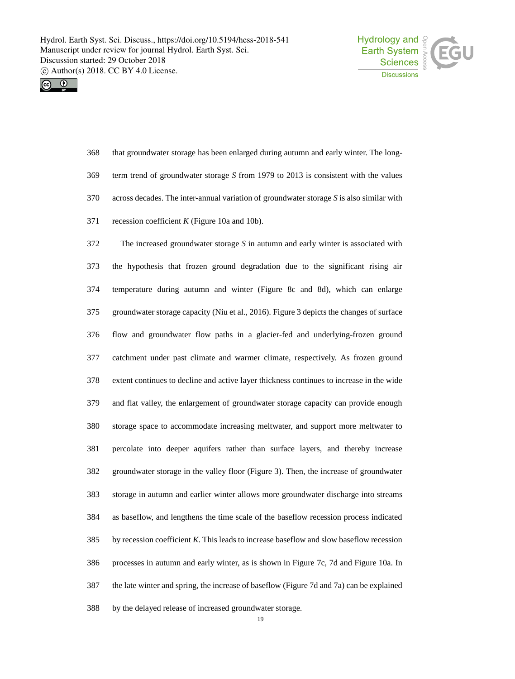



| 368 | that groundwater storage has been enlarged during autumn and early winter. The long-       |
|-----|--------------------------------------------------------------------------------------------|
| 369 | term trend of groundwater storage S from 1979 to 2013 is consistent with the values        |
| 370 | across decades. The inter-annual variation of groundwater storage $S$ is also similar with |
| 371 | recession coefficient $K$ (Figure 10a and 10b).                                            |

 The increased groundwater storage *S* in autumn and early winter is associated with the hypothesis that frozen ground degradation due to the significant rising air temperature during autumn and winter (Figure 8c and 8d), which can enlarge groundwater storage capacity (Niu et al., 2016). Figure 3 depicts the changes of surface flow and groundwater flow paths in a glacier-fed and underlying-frozen ground catchment under past climate and warmer climate, respectively. As frozen ground extent continues to decline and active layer thickness continues to increase in the wide and flat valley, the enlargement of groundwater storage capacity can provide enough storage space to accommodate increasing meltwater, and support more meltwater to percolate into deeper aquifers rather than surface layers, and thereby increase groundwater storage in the valley floor (Figure 3). Then, the increase of groundwater storage in autumn and earlier winter allows more groundwater discharge into streams as baseflow, and lengthens the time scale of the baseflow recession process indicated by recession coefficient *K*. This leads to increase baseflow and slow baseflow recession processes in autumn and early winter, as is shown in Figure 7c, 7d and Figure 10a. In the late winter and spring, the increase of baseflow (Figure 7d and 7a) can be explained by the delayed release of increased groundwater storage.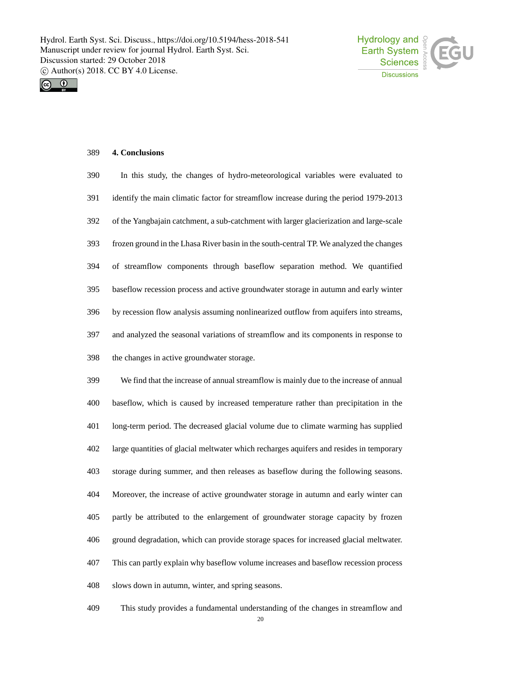



# **4. Conclusions**

| 390 | In this study, the changes of hydro-meteorological variables were evaluated to          |
|-----|-----------------------------------------------------------------------------------------|
| 391 | identify the main climatic factor for streamflow increase during the period 1979-2013   |
| 392 | of the Yangbajain catchment, a sub-catchment with larger glacierization and large-scale |
| 393 | frozen ground in the Lhasa River basin in the south-central TP. We analyzed the changes |
| 394 | of streamflow components through baseflow separation method. We quantified              |
| 395 | baseflow recession process and active groundwater storage in autumn and early winter    |
| 396 | by recession flow analysis assuming nonlinearized outflow from aquifers into streams,   |
| 397 | and analyzed the seasonal variations of streamflow and its components in response to    |
| 398 | the changes in active groundwater storage.                                              |
| 399 | We find that the increase of annual streamflow is mainly due to the increase of annual  |
| 400 | baseflow, which is caused by increased temperature rather than precipitation in the     |
| 401 | long-term period. The decreased glacial volume due to climate warming has supplied      |
| 402 | large quantities of glacial meltwater which recharges aquifers and resides in temporary |
| 403 | storage during summer, and then releases as baseflow during the following seasons.      |
| 404 | Moreover, the increase of active groundwater storage in autumn and early winter can     |
| 405 | partly be attributed to the enlargement of groundwater storage capacity by frozen       |
| 406 | ground degradation, which can provide storage spaces for increased glacial meltwater.   |
| 407 | This can partly explain why baseflow volume increases and baseflow recession process    |
| 408 | slows down in autumn, winter, and spring seasons.                                       |
| 409 | This study provides a fundamental understanding of the changes in streamflow and        |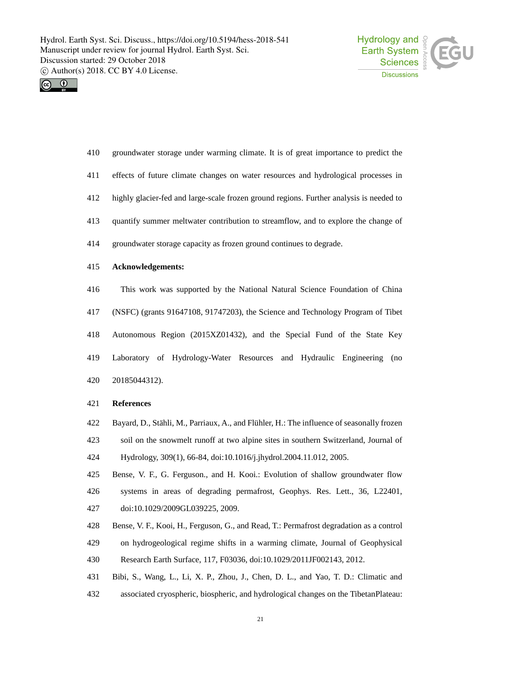



- groundwater storage under warming climate. It is of great importance to predict the
- effects of future climate changes on water resources and hydrological processes in
- highly glacier-fed and large-scale frozen ground regions. Further analysis is needed to
- quantify summer meltwater contribution to streamflow, and to explore the change of
- groundwater storage capacity as frozen ground continues to degrade.
- **Acknowledgements:**
- This work was supported by the National Natural Science Foundation of China (NSFC) (grants 91647108, 91747203), the Science and Technology Program of Tibet Autonomous Region (2015XZ01432), and the Special Fund of the State Key Laboratory of Hydrology-Water Resources and Hydraulic Engineering (no 20185044312).

#### **References**

- Bayard, D., Stähli, M., Parriaux, A., and Flühler, H.: The influence of seasonally frozen
- soil on the snowmelt runoff at two alpine sites in southern Switzerland, Journal of Hydrology, 309(1), 66-84, doi:10.1016/j.jhydrol.2004.11.012, 2005.
- Bense, V. F., G. Ferguson., and H. Kooi.: Evolution of shallow groundwater flow systems in areas of degrading permafrost, Geophys. Res. Lett., 36, L22401, doi:10.1029/2009GL039225, 2009.
- Bense, V. F., Kooi, H., Ferguson, G., and Read, T.: Permafrost degradation as a control on hydrogeological regime shifts in a warming climate, Journal of Geophysical
- Research Earth Surface, 117, F03036, doi:10.1029/2011JF002143, 2012.
- Bibi, S., Wang, L., Li, X. P., Zhou, J., Chen, D. L., and Yao, T. D.: Climatic and
- associated cryospheric, biospheric, and hydrological changes on the TibetanPlateau: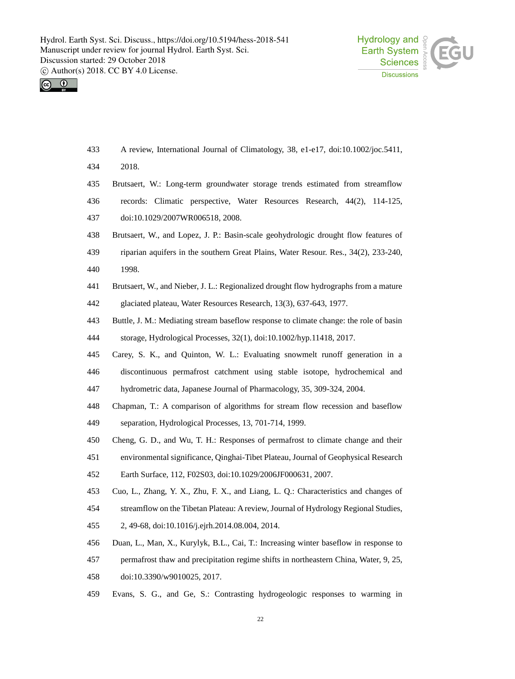



- A review, International Journal of Climatology, 38, e1-e17, doi:10.1002/joc.5411,
- 2018.
- Brutsaert, W.: Long-term groundwater storage trends estimated from streamflow
- records: Climatic perspective, Water Resources Research, 44(2), 114-125,
- doi:10.1029/2007WR006518, 2008.
- Brutsaert, W., and Lopez, J. P.: Basin-scale geohydrologic drought flow features of
- riparian aquifers in the southern Great Plains, Water Resour. Res., 34(2), 233-240,
- 1998.
- Brutsaert, W., and Nieber, J. L.: Regionalized drought flow hydrographs from a mature glaciated plateau, Water Resources Research, 13(3), 637-643, 1977.
- Buttle, J. M.: Mediating stream baseflow response to climate change: the role of basin
- storage, Hydrological Processes, 32(1), doi:10.1002/hyp.11418, 2017.
- Carey, S. K., and Quinton, W. L.: Evaluating snowmelt runoff generation in a
- discontinuous permafrost catchment using stable isotope, hydrochemical and

hydrometric data, Japanese Journal of Pharmacology, 35, 309-324, 2004.

- Chapman, T.: A comparison of algorithms for stream flow recession and baseflow
- separation, Hydrological Processes, 13, 701-714, 1999.
- Cheng, G. D., and Wu, T. H.: Responses of permafrost to climate change and their
- environmental significance, Qinghai-Tibet Plateau, Journal of Geophysical Research

Earth Surface, 112, F02S03, doi:10.1029/2006JF000631, 2007.

- Cuo, L., Zhang, Y. X., Zhu, F. X., and Liang, L. Q.: Characteristics and changes of
- streamflow on the Tibetan Plateau: A review, Journal of Hydrology Regional Studies,
- 2, 49-68, doi:10.1016/j.ejrh.2014.08.004, 2014.
- Duan, L., Man, X., Kurylyk, B.L., Cai, T.: Increasing winter baseflow in response to
- permafrost thaw and precipitation regime shifts in northeastern China, Water, 9, 25,
- doi:10.3390/w9010025, 2017.
- Evans, S. G., and Ge, S.: Contrasting hydrogeologic responses to warming in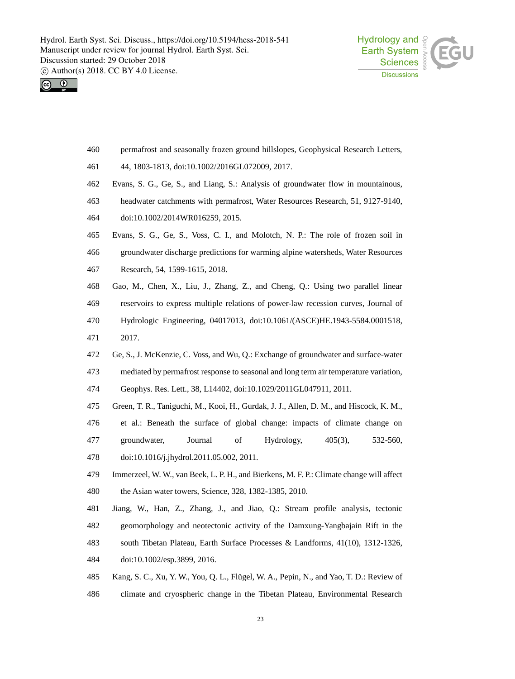



- permafrost and seasonally frozen ground hillslopes, Geophysical Research Letters,
- 44, 1803-1813, doi:10.1002/2016GL072009, 2017.
- Evans, S. G., Ge, S., and Liang, S.: Analysis of groundwater flow in mountainous,
- headwater catchments with permafrost, Water Resources Research, 51, 9127-9140,
- doi:10.1002/2014WR016259, 2015.
- Evans, S. G., Ge, S., Voss, C. I., and Molotch, N. P.: The role of frozen soil in
- groundwater discharge predictions for warming alpine watersheds, Water Resources
- Research, 54, 1599-1615, 2018.
- Gao, M., Chen, X., Liu, J., Zhang, Z., and Cheng, Q.: Using two parallel linear
- reservoirs to express multiple relations of power-law recession curves, Journal of
- Hydrologic Engineering, 04017013, doi:10.1061/(ASCE)HE.1943-5584.0001518,
- 2017.
- Ge, S., J. McKenzie, C. Voss, and Wu, Q.: Exchange of groundwater and surface-water
- mediated by permafrost response to seasonal and long term air temperature variation,

Geophys. Res. Lett., 38, L14402, doi:10.1029/2011GL047911, 2011.

- Green, T. R., Taniguchi, M., Kooi, H., Gurdak, J. J., Allen, D. M., and Hiscock, K. M.,
- et al.: Beneath the surface of global change: impacts of climate change on
- groundwater, Journal of Hydrology, 405(3), 532-560,
- doi:10.1016/j.jhydrol.2011.05.002, 2011.
- Immerzeel, W. W., van Beek, L. P. H., and Bierkens, M. F. P.: Climate change will affect the Asian water towers, Science, 328, 1382-1385, 2010.
- Jiang, W., Han, Z., Zhang, J., and Jiao, Q.: Stream profile analysis, tectonic
- geomorphology and neotectonic activity of the Damxung-Yangbajain Rift in the
- south Tibetan Plateau, Earth Surface Processes & Landforms, 41(10), 1312-1326,
- doi:10.1002/esp.3899, 2016.
- Kang, S. C., Xu, Y. W., You, Q. L., Flügel, W. A., Pepin, N., and Yao, T. D.: Review of climate and cryospheric change in the Tibetan Plateau, Environmental Research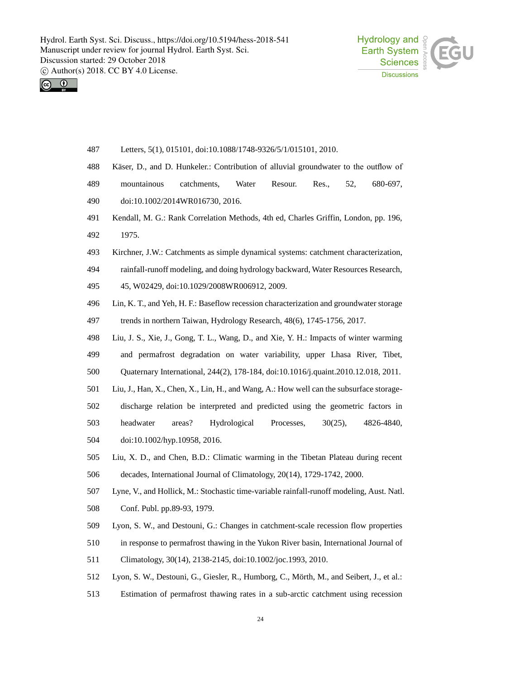



- Letters, 5(1), 015101, doi:10.1088/1748-9326/5/1/015101, 2010.
- Käser, D., and D. Hunkeler.: Contribution of alluvial groundwater to the outflow of
- 489 mountainous catchments, Water Resour. Res., 52, 680-697,
- doi:10.1002/2014WR016730, 2016.
- Kendall, M. G.: Rank Correlation Methods, 4th ed, Charles Griffin, London, pp. 196, 1975.
- Kirchner, J.W.: Catchments as simple dynamical systems: catchment characterization,
- rainfall-runoff modeling, and doing hydrology backward, Water Resources Research,
- 45, W02429, doi:10.1029/2008WR006912, 2009.
- Lin, K. T., and Yeh, H. F.: Baseflow recession characterization and groundwater storage
- trends in northern Taiwan, Hydrology Research, 48(6), 1745-1756, 2017.
- Liu, J. S., Xie, J., Gong, T. L., Wang, D., and Xie, Y. H.: Impacts of winter warming and permafrost degradation on water variability, upper Lhasa River, Tibet,
- Quaternary International, 244(2), 178-184, doi:10.1016/j.quaint.2010.12.018, 2011.
- Liu, J., Han, X., Chen, X., Lin, H., and Wang, A.: How well can the subsurface storage-
- discharge relation be interpreted and predicted using the geometric factors in
- headwater areas? Hydrological Processes, 30(25), 4826-4840,
- doi:10.1002/hyp.10958, 2016.
- Liu, X. D., and Chen, B.D.: Climatic warming in the Tibetan Plateau during recent decades, International Journal of Climatology, 20(14), 1729-1742, 2000.
- Lyne, V., and Hollick, M.: Stochastic time-variable rainfall-runoff modeling, Aust. Natl.
- Conf. Publ. pp.89-93, 1979.
- Lyon, S. W., and Destouni, G.: Changes in catchment-scale recession flow properties
- in response to permafrost thawing in the Yukon River basin, International Journal of
- Climatology, 30(14), 2138-2145, doi:10.1002/joc.1993, 2010.
- Lyon, S. W., Destouni, G., Giesler, R., Humborg, C., Mörth, M., and Seibert, J., et al.:
- Estimation of permafrost thawing rates in a sub-arctic catchment using recession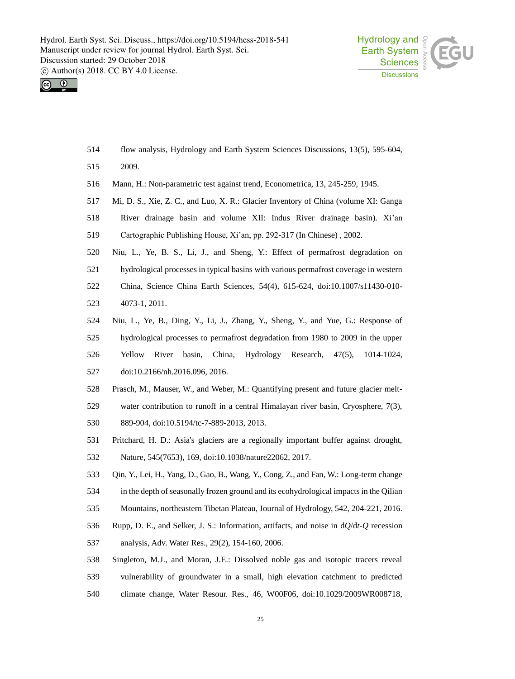



- flow analysis, Hydrology and Earth System Sciences Discussions, 13(5), 595-604,
- 2009.
- Mann, H.: Non-parametric test against trend, Econometrica, 13, 245-259, 1945.
- Mi, D. S., Xie, Z. C., and Luo, X. R.: Glacier Inventory of China (volume XI: Ganga
- River drainage basin and volume XII: Indus River drainage basin). Xi'an
- Cartographic Publishing House, Xi'an, pp. 292-317 (In Chinese) , 2002.
- Niu, L., Ye, B. S., Li, J., and Sheng, Y.: Effect of permafrost degradation on
- hydrological processes in typical basins with various permafrost coverage in western China, Science China Earth Sciences, 54(4), 615-624, doi:10.1007/s11430-010- 4073-1, 2011.
- Niu, L., Ye, B., Ding, Y., Li, J., Zhang, Y., Sheng, Y., and Yue, G.: Response of hydrological processes to permafrost degradation from 1980 to 2009 in the upper Yellow River basin, China, Hydrology Research, 47(5), 1014-1024, doi:10.2166/nh.2016.096, 2016.
- Prasch, M., Mauser, W., and Weber, M.: Quantifying present and future glacier melt-water contribution to runoff in a central Himalayan river basin, Cryosphere, 7(3),
- 889-904, doi:10.5194/tc-7-889-2013, 2013.
- Pritchard, H. D.: Asia's glaciers are a regionally important buffer against drought, Nature, 545(7653), 169, doi:10.1038/nature22062, 2017.
- Qin, Y., Lei, H., Yang, D., Gao, B., Wang, Y., Cong, Z., and Fan, W.: Long-term change in the depth of seasonally frozen ground and its ecohydrological impacts in the Qilian
- Mountains, northeastern Tibetan Plateau, Journal of Hydrology, 542, 204-221, 2016.
- Rupp, D. E., and Selker, J. S.: Information, artifacts, and noise in d*Q*/d*t*-*Q* recession analysis, Adv. Water Res., 29(2), 154-160, 2006.
- Singleton, M.J., and Moran, J.E.: Dissolved noble gas and isotopic tracers reveal vulnerability of groundwater in a small, high elevation catchment to predicted climate change, Water Resour. Res., 46, W00F06, doi:10.1029/2009WR008718,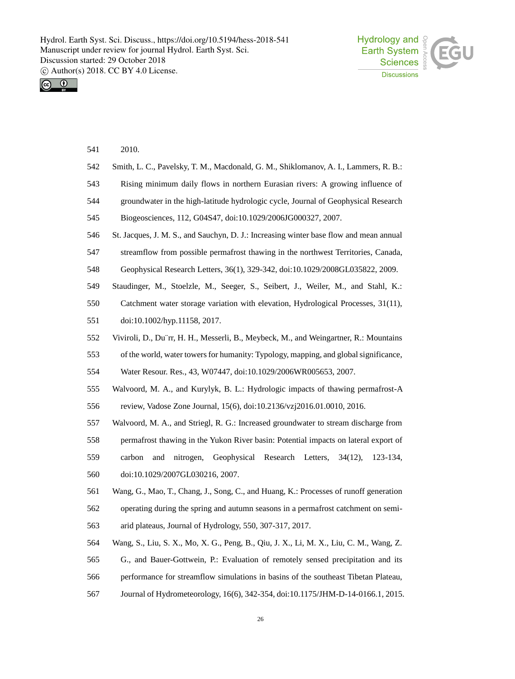



| 541 | 2010.                                                                                  |
|-----|----------------------------------------------------------------------------------------|
| 542 | Smith, L. C., Pavelsky, T. M., Macdonald, G. M., Shiklomanov, A. I., Lammers, R. B.:   |
| 543 | Rising minimum daily flows in northern Eurasian rivers: A growing influence of         |
| 544 | groundwater in the high-latitude hydrologic cycle, Journal of Geophysical Research     |
| 545 | Biogeosciences, 112, G04S47, doi:10.1029/2006JG000327, 2007.                           |
| 546 | St. Jacques, J. M. S., and Sauchyn, D. J.: Increasing winter base flow and mean annual |
| 547 | streamflow from possible permafrost thawing in the northwest Territories, Canada,      |
| 548 | Geophysical Research Letters, 36(1), 329-342, doi:10.1029/2008GL035822, 2009.          |
| 549 | Staudinger, M., Stoelzle, M., Seeger, S., Seibert, J., Weiler, M., and Stahl, K.:      |
| 550 | Catchment water storage variation with elevation, Hydrological Processes, 31(11),      |
| 551 | doi:10.1002/hyp.11158, 2017.                                                           |
| 552 | Viviroli, D., Du'rr, H. H., Messerli, B., Meybeck, M., and Weingartner, R.: Mountains  |
| 553 | of the world, water towers for humanity: Typology, mapping, and global significance,   |
| 554 | Water Resour. Res., 43, W07447, doi:10.1029/2006WR005653, 2007.                        |
| 555 | Walvoord, M. A., and Kurylyk, B. L.: Hydrologic impacts of thawing permafrost-A        |
| 556 | review, Vadose Zone Journal, 15(6), doi:10.2136/vzj2016.01.0010, 2016.                 |
| 557 | Walvoord, M. A., and Striegl, R. G.: Increased groundwater to stream discharge from    |
| 558 | permafrost thawing in the Yukon River basin: Potential impacts on lateral export of    |
| 559 | nitrogen,<br>Geophysical Research Letters, 34(12),<br>carbon<br>and<br>123-134,        |
| 560 | doi:10.1029/2007GL030216, 2007.                                                        |
| 561 | Wang, G., Mao, T., Chang, J., Song, C., and Huang, K.: Processes of runoff generation  |
| 562 | operating during the spring and autumn seasons in a permafrost catchment on semi-      |
| 563 | arid plateaus, Journal of Hydrology, 550, 307-317, 2017.                               |
| 564 | Wang, S., Liu, S. X., Mo, X. G., Peng, B., Qiu, J. X., Li, M. X., Liu, C. M., Wang, Z. |
| 565 | G., and Bauer-Gottwein, P.: Evaluation of remotely sensed precipitation and its        |
| 566 | performance for streamflow simulations in basins of the southeast Tibetan Plateau,     |
| 567 | Journal of Hydrometeorology, 16(6), 342-354, doi:10.1175/JHM-D-14-0166.1, 2015.        |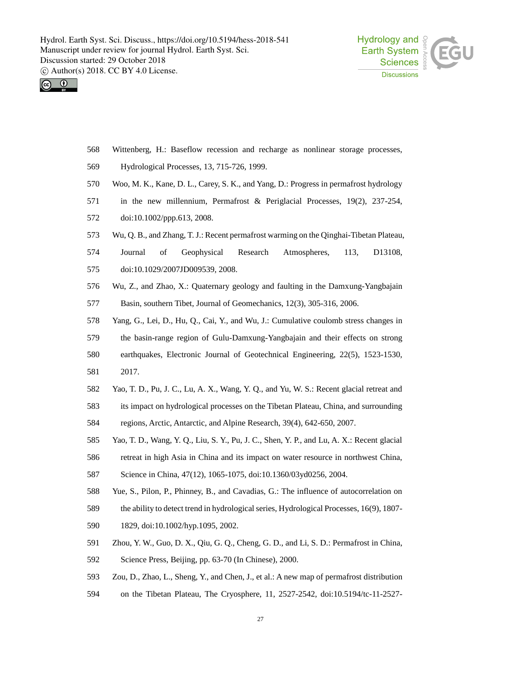



- Wittenberg, H.: Baseflow recession and recharge as nonlinear storage processes,
- Hydrological Processes, 13, 715-726, 1999.
- Woo, M. K., Kane, D. L., Carey, S. K., and Yang, D.: Progress in permafrost hydrology
- in the new millennium, Permafrost & Periglacial Processes, 19(2), 237-254,
- doi:10.1002/ppp.613, 2008.
- Wu, Q. B., and Zhang, T.J.: Recent permafrost warming on the Qinghai-Tibetan Plateau,
- Journal of Geophysical Research Atmospheres, 113, D13108,
- doi:10.1029/2007JD009539, 2008.
- Wu, Z., and Zhao, X.: Quaternary geology and faulting in the Damxung-Yangbajain Basin, southern Tibet, Journal of Geomechanics, 12(3), 305-316, 2006.
- Yang, G., Lei, D., Hu, Q., Cai, Y., and Wu, J.: Cumulative coulomb stress changes in
- the basin-range region of Gulu-Damxung-Yangbajain and their effects on strong
- earthquakes, Electronic Journal of Geotechnical Engineering, 22(5), 1523-1530,
- 2017.
- Yao, T. D., Pu, J. C., Lu, A. X., Wang, Y. Q., and Yu, W. S.: Recent glacial retreat and
- its impact on hydrological processes on the Tibetan Plateau, China, and surrounding
- regions, Arctic, Antarctic, and Alpine Research, 39(4), 642-650, 2007.
- Yao, T. D., Wang, Y. Q., Liu, S. Y., Pu, J. C., Shen, Y. P., and Lu, A. X.: Recent glacial
- retreat in high Asia in China and its impact on water resource in northwest China,

Science in China, 47(12), 1065-1075, doi:10.1360/03yd0256, 2004.

- Yue, S., Pilon, P., Phinney, B., and Cavadias, G.: The influence of autocorrelation on
- the ability to detect trend in hydrological series, Hydrological Processes, 16(9), 1807-
- 1829, doi:10.1002/hyp.1095, 2002.
- Zhou, Y. W., Guo, D. X., Qiu, G. Q., Cheng, G. D., and Li, S. D.: Permafrost in China,
- Science Press, Beijing, pp. 63-70 (In Chinese), 2000.
- Zou, D., Zhao, L., Sheng, Y., and Chen, J., et al.: A new map of permafrost distribution
- on the Tibetan Plateau, The Cryosphere, 11, 2527-2542, doi:10.5194/tc-11-2527-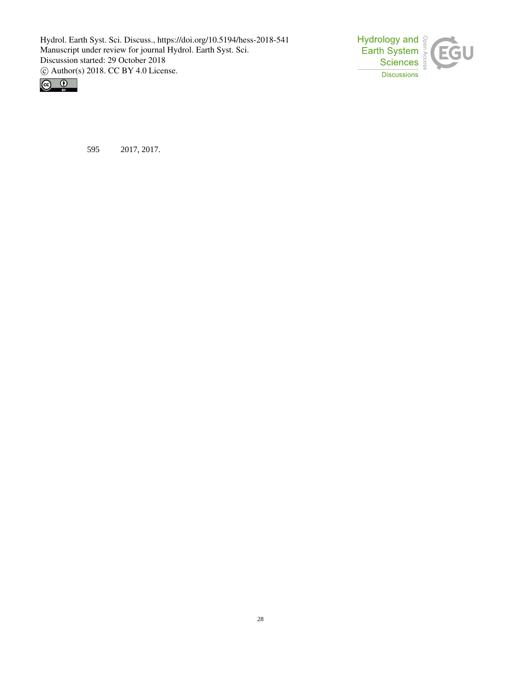



595 2017, 2017.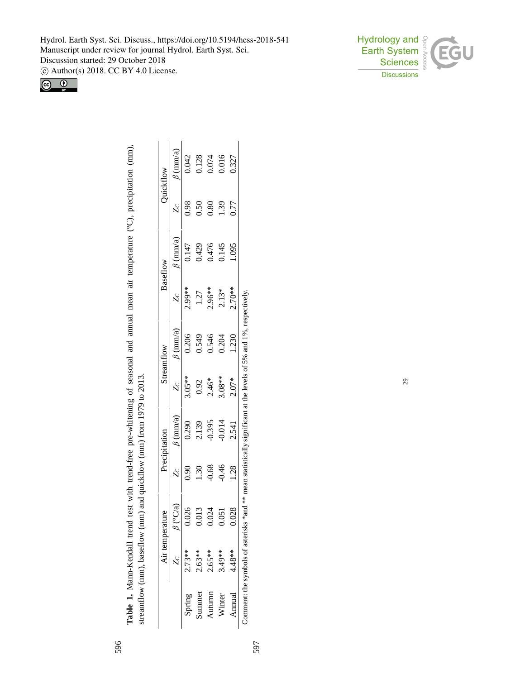Hydrol. Earth Syst. Sci. Discuss., https://doi.org/10.5194/hess-2018-541 Manuscript under review for journal Hydrol. Earth Syst. Sci. Discussion started: 29 October 2018

c Author(s) 2018. CC BY 4.0 License.





|         |          | Air temperature |         | recipitation                               |                                             | Streamflow                                 |                                              | Baseflow                           |      | Quickflow                                                       |
|---------|----------|-----------------|---------|--------------------------------------------|---------------------------------------------|--------------------------------------------|----------------------------------------------|------------------------------------|------|-----------------------------------------------------------------|
|         |          | (C/a)           |         | $\frac{1}{2}$ (mm/a)                       |                                             |                                            |                                              | $\beta$ (mm/a)                     |      | $\frac{1}{2}$ (mm/a)                                            |
| Spring  | $2.73**$ | 0.026           | ğ       | 0.290                                      | $3.05**$                                    | $\frac{\beta\ ({\rm mm}/ {\rm a})}{0.206}$ | 2.99**                                       |                                    | 0.98 | 1.042                                                           |
| junnner | $2.63**$ | 0.013           | 1.30    |                                            |                                             |                                            |                                              |                                    | 0.50 |                                                                 |
| utumn   | $2.65**$ | 0.024           | 0.68    |                                            |                                             |                                            |                                              |                                    | 0.80 |                                                                 |
| Winter  | $3.49**$ | 0.05            | $-0.46$ | $2.139$<br>$-0.395$<br>$-0.014$<br>$2.541$ | $0.92$<br>$2.46**$<br>$3.08***$<br>$2.07**$ | 0.549<br>0.546<br>0.204                    | $1.27$<br>$2.96***$<br>$2.13**$<br>$2.70***$ | $0.147$<br>0.429<br>0.476<br>0.476 | 1.39 | $\begin{array}{c} 0.128 \\ 0.074 \\ 0.016 \\ 0.327 \end{array}$ |
| Annual  | $4.48**$ | 0.028           | 1.28    |                                            |                                             | 1.230                                      |                                              | 1.095                              | 0.77 |                                                                 |

**Table 1.** Mann-Kendall trend test with trend-free pre-whitening of seasonal and annual mean air temperature (°C), precipitation (mm),

Table 1. Mann-Kendall trend test with trend-free pre-whitening of seasonal and annual mean air temperature (°C), precipitation (mm),

Comment: the symbols of asterisks \*and \*\* mean statistically significant at the levels of 5% and 1%, respectively. Comment: the symbols of asterisks  $*$  and  $**$  mean statistically significant at the levels of 5% and 1%, respectively.

597

29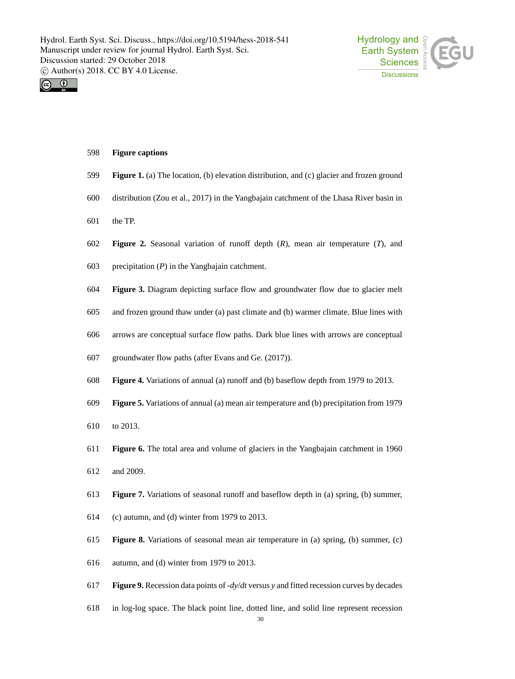



#### **Figure captions**

- **Figure 1.** (a) The location, (b) elevation distribution, and (c) glacier and frozen ground
- distribution (Zou et al., 2017) in the Yangbajain catchment of the Lhasa River basin in
- the TP.
- **Figure 2.** Seasonal variation of runoff depth (*R*), mean air temperature (*T*), and
- precipitation (*P*) in the Yangbajain catchment.
- **Figure 3.** Diagram depicting surface flow and groundwater flow due to glacier melt
- and frozen ground thaw under (a) past climate and (b) warmer climate. Blue lines with
- arrows are conceptual surface flow paths. Dark blue lines with arrows are conceptual
- groundwater flow paths (after Evans and Ge. (2017)).
- **Figure 4.** Variations of annual (a) runoff and (b) baseflow depth from 1979 to 2013.
- **Figure 5.** Variations of annual (a) mean air temperature and (b) precipitation from 1979
- to 2013.
- **Figure 6.** The total area and volume of glaciers in the Yangbajain catchment in 1960
- and 2009.
- **Figure 7.** Variations of seasonal runoff and baseflow depth in (a) spring, (b) summer,
- (c) autumn, and (d) winter from 1979 to 2013.
- **Figure 8.** Variations of seasonal mean air temperature in (a) spring, (b) summer, (c)
- autumn, and (d) winter from 1979 to 2013.
- **Figure 9.** Recession data points of -*dy*/*dt* versus *y* and fitted recession curves by decades
- in log-log space. The black point line, dotted line, and solid line represent recession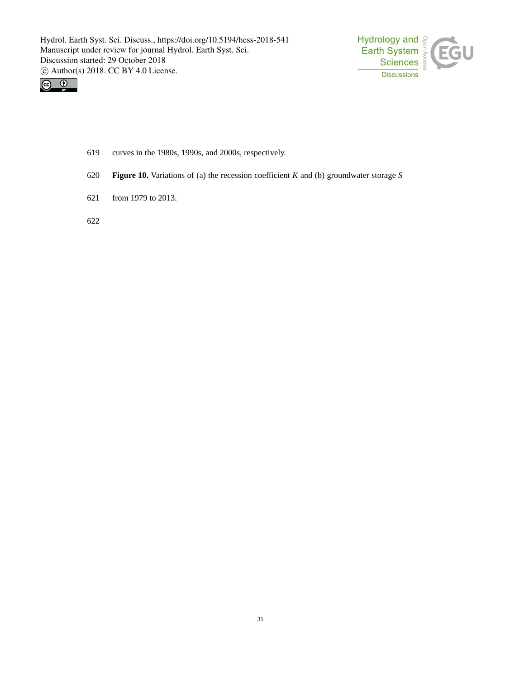



- 619 curves in the 1980s, 1990s, and 2000s, respectively.
- 620 **Figure 10.** Variations of (a) the recession coefficient *K* and (b) groundwater storage *S*
- 621 from 1979 to 2013.

622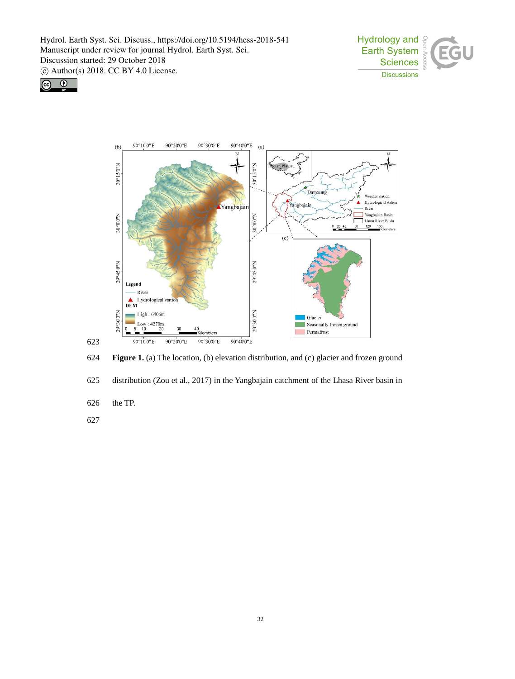





624 **Figure 1.** (a) The location, (b) elevation distribution, and (c) glacier and frozen ground

625 distribution (Zou et al., 2017) in the Yangbajain catchment of the Lhasa River basin in

- 626 the TP.
- 627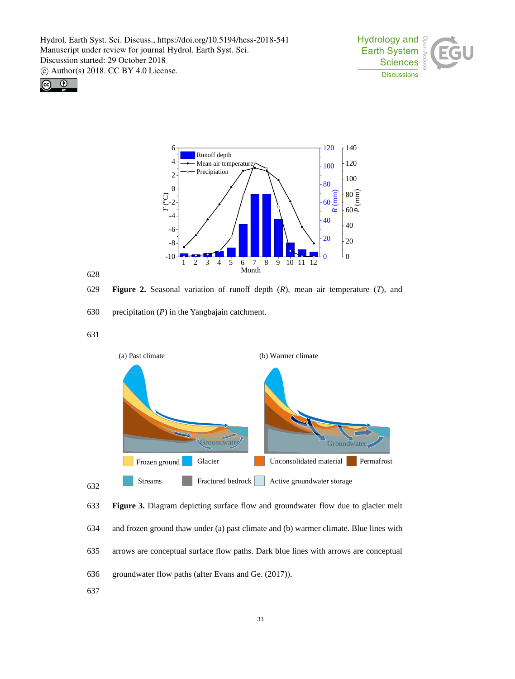





# 628

629 **Figure 2.** Seasonal variation of runoff depth (*R*), mean air temperature (*T*), and

630 precipitation (*P*) in the Yangbajain catchment.

631





637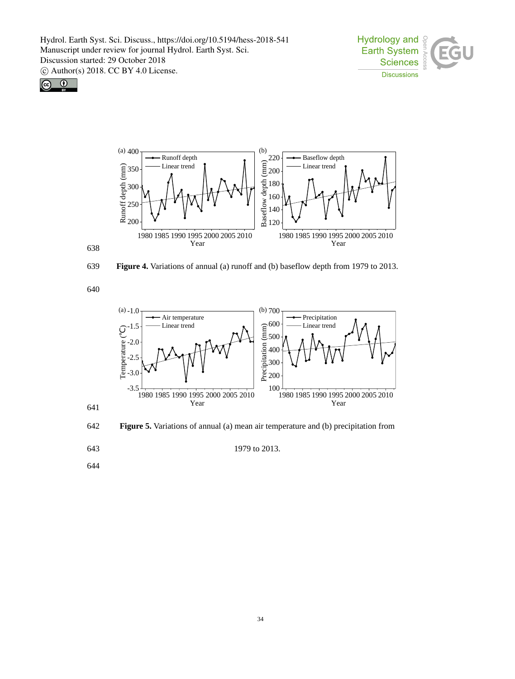





639 **Figure 4.** Variations of annual (a) runoff and (b) baseflow depth from 1979 to 2013.

640



642 **Figure 5.** Variations of annual (a) mean air temperature and (b) precipitation from

641

643 1979 to 2013.

644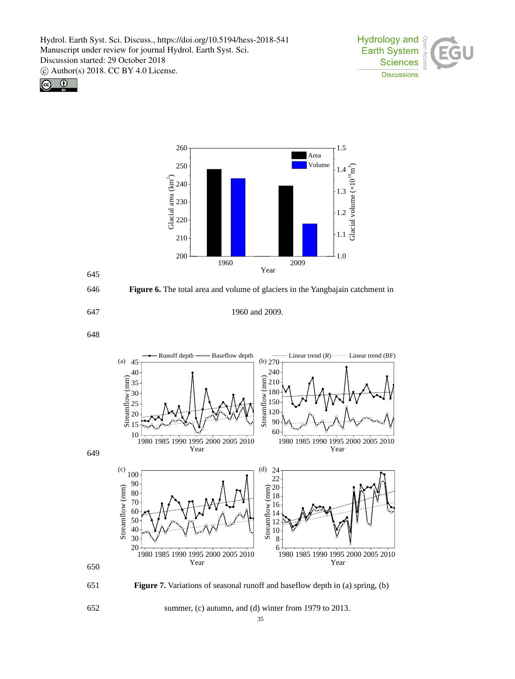



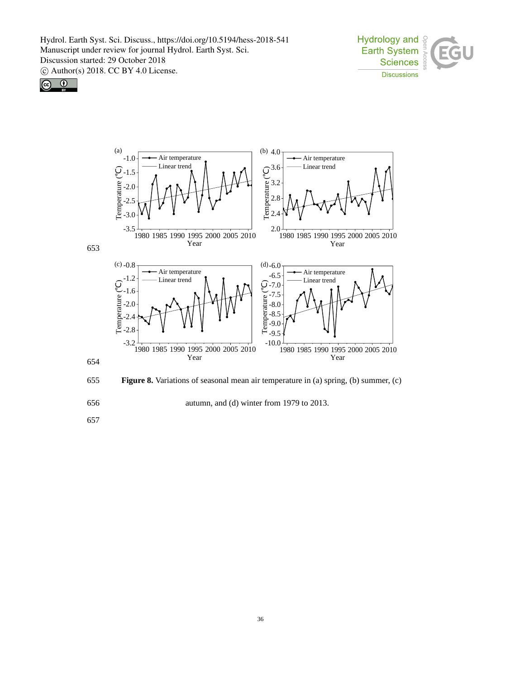





655 **Figure 8.** Variations of seasonal mean air temperature in (a) spring, (b) summer, (c)

656 autumn, and (d) winter from 1979 to 2013.

657